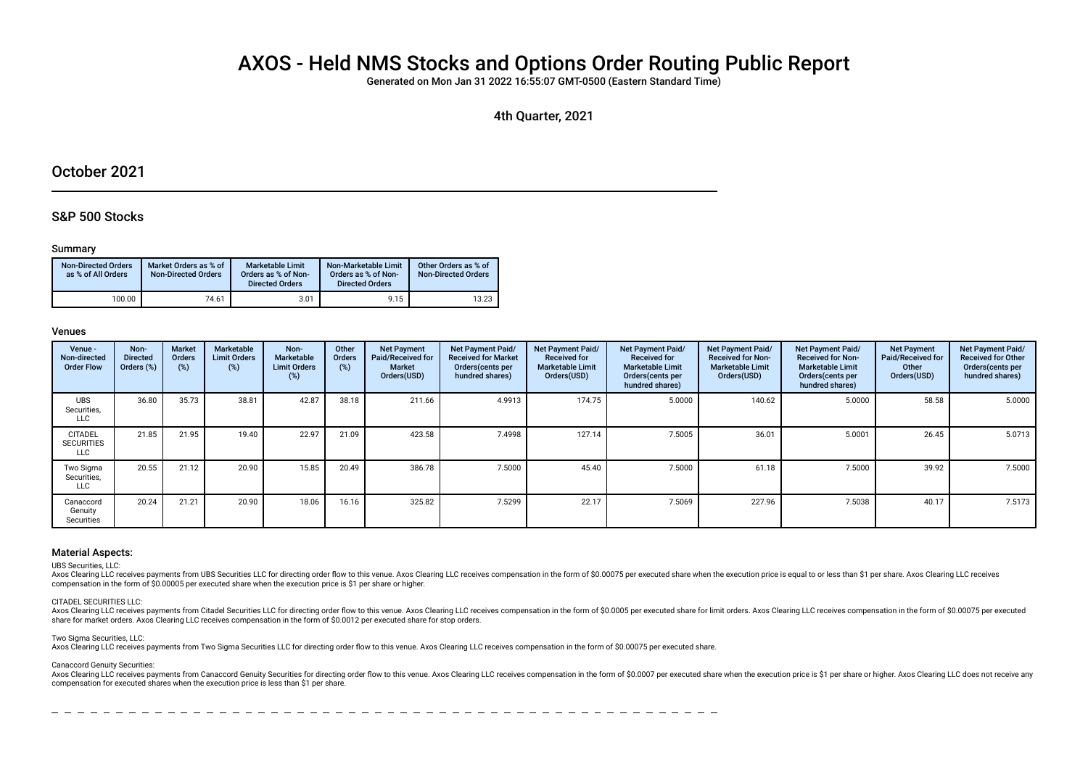# AXOS - Held NMS Stocks and Options Order Routing Public Report

Generated on Mon Jan 31 2022 16:55:07 GMT-0500 (Eastern Standard Time)

4th Quarter, 2021

# October 2021

# S&P 500 Stocks

#### Summary

| <b>Non-Directed Orders</b><br>as % of All Orders | Market Orders as % of<br><b>Non-Directed Orders</b> | Marketable Limit<br>Orders as % of Non-<br><b>Directed Orders</b> | Non-Marketable Limit<br>Orders as % of Non-<br><b>Directed Orders</b> | Other Orders as % of<br><b>Non-Directed Orders</b> |
|--------------------------------------------------|-----------------------------------------------------|-------------------------------------------------------------------|-----------------------------------------------------------------------|----------------------------------------------------|
| 100.00                                           | 74.61                                               | 3.01                                                              | 9.15                                                                  | 13.23                                              |

## Venues

| Venue -<br>Non-directed<br><b>Order Flow</b>      | Non-<br><b>Directed</b><br>Orders (%) | <b>Market</b><br>Orders<br>$(\%)$ | Marketable<br><b>Limit Orders</b><br>(%) | Non-<br>Marketable<br><b>Limit Orders</b><br>$(\%)$ | Other<br>Orders<br>(%) | <b>Net Payment</b><br>Paid/Received for<br><b>Market</b><br>Orders(USD) | Net Payment Paid/<br><b>Received for Market</b><br>Orders(cents per<br>hundred shares) | Net Payment Paid/<br><b>Received for</b><br><b>Marketable Limit</b><br>Orders(USD) | Net Payment Paid/<br><b>Received for</b><br><b>Marketable Limit</b><br>Orders(cents per<br>hundred shares) | Net Payment Paid/<br><b>Received for Non-</b><br><b>Marketable Limit</b><br>Orders(USD) | Net Payment Paid/<br><b>Received for Non-</b><br><b>Marketable Limit</b><br>Orders (cents per<br>hundred shares) | <b>Net Payment</b><br>Paid/Received for<br>Other<br>Orders(USD) | Net Payment Paid/<br><b>Received for Other</b><br>Orders (cents per<br>hundred shares) |
|---------------------------------------------------|---------------------------------------|-----------------------------------|------------------------------------------|-----------------------------------------------------|------------------------|-------------------------------------------------------------------------|----------------------------------------------------------------------------------------|------------------------------------------------------------------------------------|------------------------------------------------------------------------------------------------------------|-----------------------------------------------------------------------------------------|------------------------------------------------------------------------------------------------------------------|-----------------------------------------------------------------|----------------------------------------------------------------------------------------|
| <b>UBS</b><br>Securities,<br><b>LLC</b>           | 36.80                                 | 35.73                             | 38.81                                    | 42.87                                               | 38.18                  | 211.66                                                                  | 4.9913                                                                                 | 174.75                                                                             | 5.0000                                                                                                     | 140.62                                                                                  | 5.0000                                                                                                           | 58.58                                                           | 5.0000                                                                                 |
| <b>CITADEL</b><br><b>SECURITIES</b><br><b>LLC</b> | 21.85                                 | 21.95                             | 19.40                                    | 22.97                                               | 21.09                  | 423.58                                                                  | 7.4998                                                                                 | 127.14                                                                             | 7.5005                                                                                                     | 36.01                                                                                   | 5.0001                                                                                                           | 26.45                                                           | 5.0713                                                                                 |
| Two Sigma<br>Securities,<br><b>LLC</b>            | 20.55                                 | 21.12                             | 20.90                                    | 15.85                                               | 20.49                  | 386.78                                                                  | 7.5000                                                                                 | 45.40                                                                              | 7.5000                                                                                                     | 61.18                                                                                   | 7.5000                                                                                                           | 39.92                                                           | 7.5000                                                                                 |
| Canaccord<br>Genuity<br>Securities                | 20.24                                 | 21.21                             | 20.90                                    | 18.06                                               | 16.16                  | 325.82                                                                  | 7.5299                                                                                 | 22.17                                                                              | 7.5069                                                                                                     | 227.96                                                                                  | 7.5038                                                                                                           | 40.17                                                           | 7.5173                                                                                 |

#### Material Aspects:

UBS Securities, LLC:

Axos Clearing LLC receives payments from UBS Securities LLC for directing order flow to this venue. Axos Clearing LLC receives compensation in the form of \$0.00075 per executed share when the execution price is equal to or compensation in the form of \$0.00005 per executed share when the execution price is \$1 per share or higher.

#### CITADEL SECURITIES LLC:

Axos Clearing LLC receives payments from Citadel Securities LLC for directing order flow to this venue. Axos Clearing LLC receives compensation in the form of \$0.0005 per executed share for limit orders. Axos Clearing LLC share for market orders. Axos Clearing LLC receives compensation in the form of \$0.0012 per executed share for stop orders.

#### Two Sigma Securities, LLC:

Axos Clearing LLC receives payments from Two Sigma Securities LLC for directing order flow to this venue. Axos Clearing LLC receives compensation in the form of \$0.00075 per executed share.

#### Canaccord Genuity Securities:

Axos Clearing LLC receives payments from Canaccord Genuity Securities for directing order flow to this venue. Axos Clearing LLC receives compensation in the form of \$0.0007 per executed share when the execution price is \$1 compensation for executed shares when the execution price is less than \$1 per share.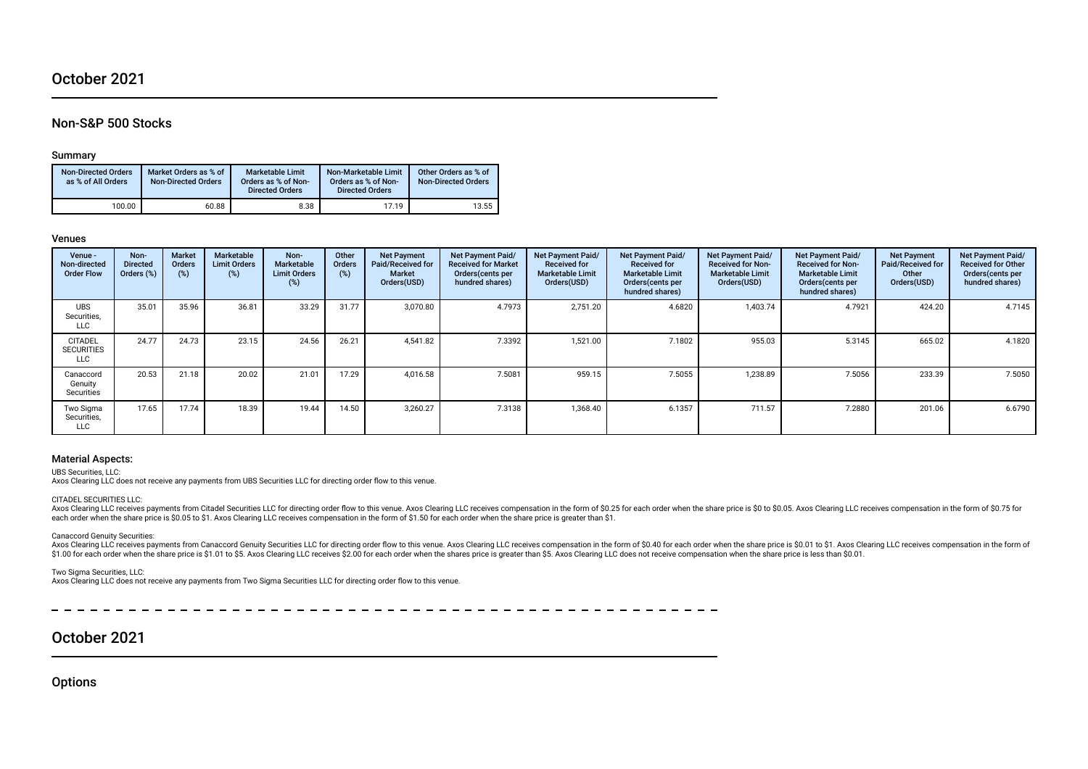# October 2021

# Non-S&P 500 Stocks

### Summary

| <b>Non-Directed Orders</b><br>as % of All Orders | Market Orders as % of<br><b>Non-Directed Orders</b> | Marketable Limit<br>Orders as % of Non-<br><b>Directed Orders</b> | Non-Marketable Limit<br>Orders as % of Non-<br><b>Directed Orders</b> | Other Orders as % of<br><b>Non-Directed Orders</b> |
|--------------------------------------------------|-----------------------------------------------------|-------------------------------------------------------------------|-----------------------------------------------------------------------|----------------------------------------------------|
| 100.00                                           | 60.88                                               | 8.38                                                              | 17.19                                                                 | 13.55                                              |

#### Venues

| Venue -<br>Non-directed<br><b>Order Flow</b> | Non-<br><b>Directed</b><br>Orders (%) | <b>Market</b><br><b>Orders</b><br>$(\%)$ | Marketable<br><b>Limit Orders</b><br>(%) | Non-<br>Marketable<br><b>Limit Orders</b><br>(%) | Other<br>Orders<br>$(\%)$ | <b>Net Payment</b><br>Paid/Received for<br><b>Market</b><br>Orders(USD) | Net Payment Paid/<br><b>Received for Market</b><br>Orders(cents per<br>hundred shares) | Net Payment Paid/<br><b>Received for</b><br><b>Marketable Limit</b><br>Orders(USD) | Net Payment Paid/<br><b>Received for</b><br><b>Marketable Limit</b><br>Orders(cents per<br>hundred shares) | Net Payment Paid/<br><b>Received for Non-</b><br><b>Marketable Limit</b><br>Orders(USD) | <b>Net Payment Paid/</b><br><b>Received for Non-</b><br><b>Marketable Limit</b><br>Orders(cents per<br>hundred shares) | <b>Net Payment</b><br>Paid/Received for<br>Other<br>Orders(USD) | Net Payment Paid/<br><b>Received for Other</b><br>Orders(cents per<br>hundred shares) |
|----------------------------------------------|---------------------------------------|------------------------------------------|------------------------------------------|--------------------------------------------------|---------------------------|-------------------------------------------------------------------------|----------------------------------------------------------------------------------------|------------------------------------------------------------------------------------|------------------------------------------------------------------------------------------------------------|-----------------------------------------------------------------------------------------|------------------------------------------------------------------------------------------------------------------------|-----------------------------------------------------------------|---------------------------------------------------------------------------------------|
| <b>UBS</b><br>Securities,<br><b>LLC</b>      | 35.01                                 | 35.96                                    | 36.81                                    | 33.29                                            | 31.77                     | 3,070.80                                                                | 4.7973                                                                                 | 2,751.20                                                                           | 4.6820                                                                                                     | 1,403.74                                                                                | 4.7921                                                                                                                 | 424.20                                                          | 4.7145                                                                                |
| <b>CITADEL</b><br><b>SECURITIES</b><br>LLC   | 24.77                                 | 24.73                                    | 23.15                                    | 24.56                                            | 26.21                     | 4.541.82                                                                | 7.3392                                                                                 | 1,521.00                                                                           | 7.1802                                                                                                     | 955.03                                                                                  | 5.3145                                                                                                                 | 665.02                                                          | 4.1820                                                                                |
| Canaccord<br>Genuity<br>Securities           | 20.53                                 | 21.18                                    | 20.02                                    | 21.01                                            | 17.29                     | 4,016.58                                                                | 7.5081                                                                                 | 959.15                                                                             | 7.5055                                                                                                     | 1,238.89                                                                                | 7.5056                                                                                                                 | 233.39                                                          | 7.5050                                                                                |
| Two Sigma<br>Securities,<br>LLC              | 17.65                                 | 17.74                                    | 18.39                                    | 19.44                                            | 14.50                     | 3.260.27                                                                | 7.3138                                                                                 | 1,368.40                                                                           | 6.1357                                                                                                     | 711.57                                                                                  | 7.2880                                                                                                                 | 201.06                                                          | 6.6790                                                                                |

## Material Aspects:

UBS Securities, LLC:

Axos Clearing LLC does not receive any payments from UBS Securities LLC for directing order fow to this venue.

#### CITADEL SECURITIES LLC:

Axos Clearing LLC receives payments from Citadel Securities LLC for directing order flow to this venue. Axos Clearing LLC receives compensation in the form of \$0.25 for each order when the share price is \$0 to \$0.05. Axos each order when the share price is \$0.05 to \$1. Axos Clearing LLC receives compensation in the form of \$1.50 for each order when the share price is greater than \$1.

#### Canaccord Genuity Securities:

Axos Clearing LLC receives payments from Canaccord Genuity Securities LLC for directing order flow to this venue. Axos Clearing LLC receives compensation in the form of \$0.40 for each order when the share price is \$0.01 to \$1.00 for each order when the share price is \$1.01 to \$5. Axos Clearing LLC receives \$2.00 for each order when the shares price is greater than \$5. Axos Clearing LLC does not receive compensation when the share price is le

Two Sigma Securities, LLC:

Axos Clearing LLC does not receive any payments from Two Sigma Securities LLC for directing order fow to this venue.

# October 2021

**Options**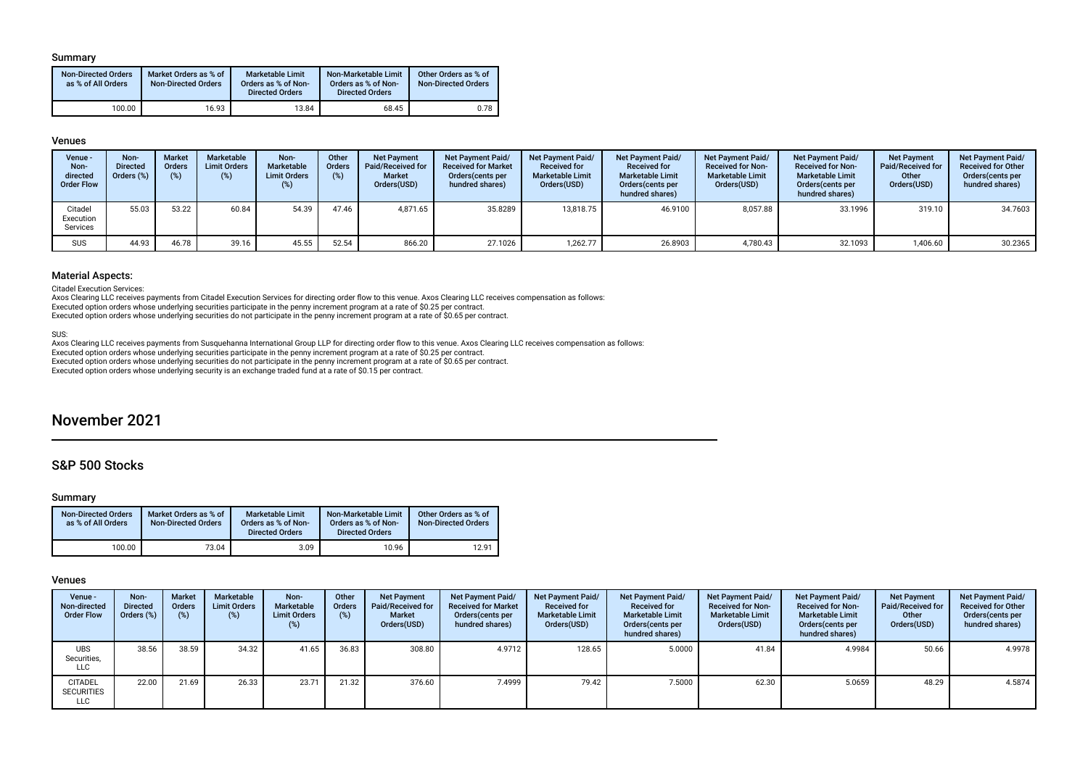### Summary

| <b>Non-Directed Orders</b><br>as % of All Orders | Market Orders as % of<br><b>Non-Directed Orders</b> | <b>Marketable Limit</b><br>Orders as % of Non-<br><b>Directed Orders</b> | Non-Marketable Limit<br>Orders as % of Non-<br><b>Directed Orders</b> | Other Orders as % of<br><b>Non-Directed Orders</b> |
|--------------------------------------------------|-----------------------------------------------------|--------------------------------------------------------------------------|-----------------------------------------------------------------------|----------------------------------------------------|
| 100.00                                           | 16.93                                               | 13.84                                                                    | 68.45                                                                 | 0.78                                               |

#### Venues

| Venue -<br>Non-<br>directed<br><b>Order Flow</b> | Non-<br><b>Directed</b><br>Orders (%) | <b>Market</b><br><b>Orders</b><br>(%) | Marketable<br><b>Limit Orders</b><br>(%) | Non-<br><b>Marketable</b><br><b>Limit Orders</b><br>(%) | Other<br>Orders<br>$(\%)$ | <b>Net Payment</b><br>Paid/Received for<br>Market<br>Orders(USD) | <b>Net Payment Paid/</b><br><b>Received for Market</b><br>Orders (cents per<br>hundred shares) | <b>Net Payment Paid/</b><br><b>Received for</b><br><b>Marketable Limit</b><br>Orders(USD) | <b>Net Payment Paid/</b><br><b>Received for</b><br><b>Marketable Limit</b><br>Orders (cents per<br>hundred shares) | <b>Net Payment Paid/</b><br><b>Received for Non-</b><br><b>Marketable Limit</b><br>Orders(USD) | Net Payment Paid/<br><b>Received for Non-</b><br><b>Marketable Limit</b><br>Orders (cents per<br>hundred shares) | <b>Net Payment</b><br>Paid/Received for<br>Other<br>Orders(USD) | Net Payment Paid/<br><b>Received for Other</b><br>Orders (cents per<br>hundred shares) |
|--------------------------------------------------|---------------------------------------|---------------------------------------|------------------------------------------|---------------------------------------------------------|---------------------------|------------------------------------------------------------------|------------------------------------------------------------------------------------------------|-------------------------------------------------------------------------------------------|--------------------------------------------------------------------------------------------------------------------|------------------------------------------------------------------------------------------------|------------------------------------------------------------------------------------------------------------------|-----------------------------------------------------------------|----------------------------------------------------------------------------------------|
| Citadel<br>Execution<br>Services                 | 55.03                                 | 53.22                                 | 60.84                                    | 54.39                                                   | 47.46                     | 4,871.65                                                         | 35.8289                                                                                        | 13.818.75                                                                                 | 46.9100                                                                                                            | 8,057.88                                                                                       | 33.1996                                                                                                          | 319.10                                                          | 34.7603                                                                                |
| SUS                                              | 44.93                                 | 46.78                                 | 39.16                                    | 45.55                                                   | 52.54                     | 866.20                                                           | 27.1026                                                                                        | 1,262.77                                                                                  | 26.8903                                                                                                            | 4,780.43                                                                                       | 32.1093                                                                                                          | 1,406.60                                                        | 30.2365                                                                                |

## Material Aspects:

Citadel Execution Services:

Axos Clearing LLC receives payments from Citadel Execution Services for directing order fow to this venue. Axos Clearing LLC receives compensation as follows: Executed option orders whose underlying securities participate in the penny increment program at a rate of \$0.25 per contract. Executed option orders whose underlying securities do not participate in the penny increment program at a rate of \$0.65 per contract.

SUS:

Axos Clearing LLC receives payments from Susquehanna International Group LLP for directing order flow to this venue. Axos Clearing LLC receives compensation as follows:<br>Executed option orders whose underlying securities pa Executed option orders whose underlying securities do not participate in the penny increment program at a rate of \$0.65 per contract. Executed option orders whose underlying security is an exchange traded fund at a rate of \$0.15 per contract.

# November 2021

# S&P 500 Stocks

## Summary

| <b>Non-Directed Orders</b><br>as % of All Orders | Market Orders as % of<br><b>Non-Directed Orders</b> | <b>Marketable Limit</b><br>Orders as % of Non-<br><b>Directed Orders</b> | Non-Marketable Limit<br>Orders as % of Non-<br><b>Directed Orders</b> | Other Orders as % of<br><b>Non-Directed Orders</b> |
|--------------------------------------------------|-----------------------------------------------------|--------------------------------------------------------------------------|-----------------------------------------------------------------------|----------------------------------------------------|
| 100.00                                           | 73.04                                               | 3.09                                                                     | 10.96                                                                 | 12.91                                              |

#### Venues

| Venue -<br>Non-directed<br><b>Order Flow</b>      | Non-<br><b>Directed</b><br>Orders (%) | <b>Market</b><br>Orders<br>$(\%)$ | Marketable<br><b>Limit Orders</b><br>(%) | Non-<br><b>Marketable</b><br><b>Limit Orders</b><br>(%) | Other<br>Orders<br>(%) | <b>Net Payment</b><br>Paid/Received for<br><b>Market</b><br>Orders(USD) | Net Payment Paid/<br><b>Received for Market</b><br>Orders (cents per<br>hundred shares) | Net Payment Paid/<br><b>Received for</b><br><b>Marketable Limit</b><br>Orders(USD) | Net Payment Paid/<br><b>Received for</b><br><b>Marketable Limit</b><br>Orders (cents per<br>hundred shares) | Net Payment Paid/<br><b>Received for Non-</b><br><b>Marketable Limit</b><br>Orders(USD) | Net Payment Paid/<br><b>Received for Non-</b><br><b>Marketable Limit</b><br>Orders (cents per<br>hundred shares) | <b>Net Payment</b><br>Paid/Received for<br>Other<br>Orders(USD) | Net Payment Paid/<br><b>Received for Other</b><br>Orders(cents per<br>hundred shares) |
|---------------------------------------------------|---------------------------------------|-----------------------------------|------------------------------------------|---------------------------------------------------------|------------------------|-------------------------------------------------------------------------|-----------------------------------------------------------------------------------------|------------------------------------------------------------------------------------|-------------------------------------------------------------------------------------------------------------|-----------------------------------------------------------------------------------------|------------------------------------------------------------------------------------------------------------------|-----------------------------------------------------------------|---------------------------------------------------------------------------------------|
| <b>UBS</b><br>Securities,<br><b>LLC</b>           | 38.56                                 | 38.59                             | 34.32                                    | 41.65                                                   | 36.83                  | 308.80                                                                  | 4.9712                                                                                  | 128.65                                                                             | 5.0000                                                                                                      | 41.84                                                                                   | 4.9984                                                                                                           | 50.66                                                           | 4.9978                                                                                |
| <b>CITADEL</b><br><b>SECURITIES</b><br><b>LLC</b> | 22.00                                 | 21.69                             | 26.33                                    | $23.7^{\circ}$                                          | 21.32                  | 376.60                                                                  | 7.4999                                                                                  | 79.42                                                                              | 7.5000                                                                                                      | 62.30                                                                                   | 5.0659                                                                                                           | 48.29                                                           | 4.5874                                                                                |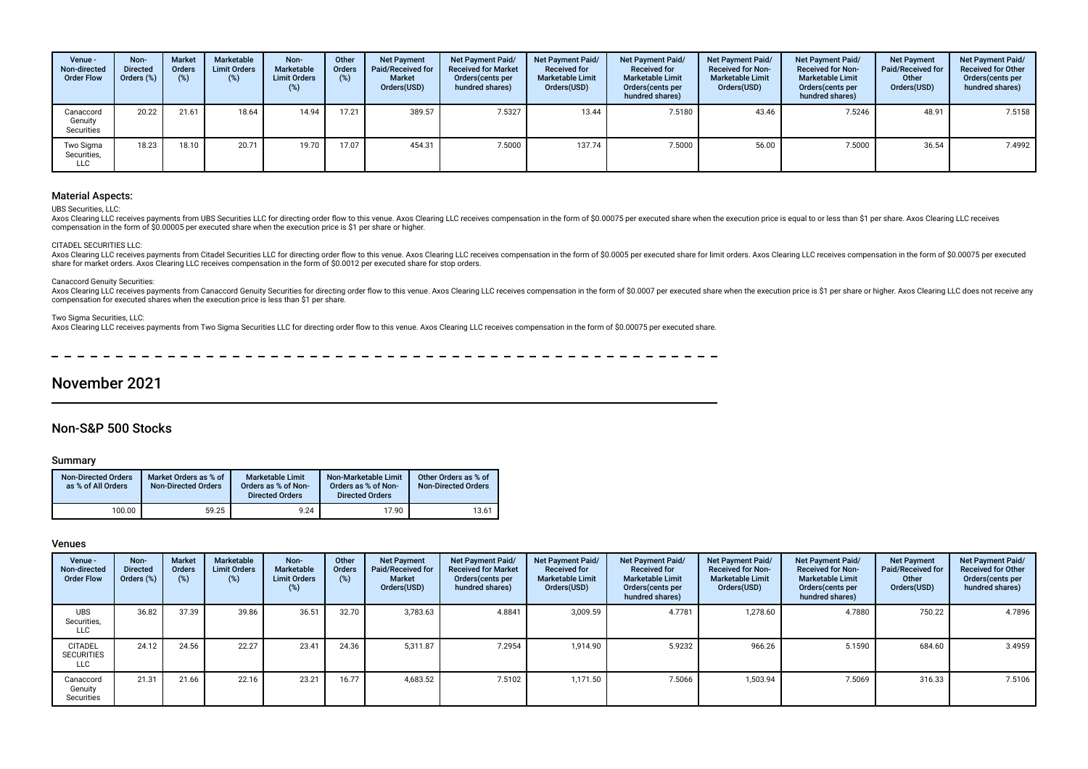| Venue -<br>Non-directed<br><b>Order Flow</b> | Non-<br><b>Directed</b><br>Orders (%) | <b>Market</b><br><b>Orders</b><br>$(\%)$ | Marketable<br><b>Limit Orders</b><br>(%) | Non-<br>Marketable<br><b>Limit Orders</b><br>(%) | Other<br><b>Orders</b><br>(%) | <b>Net Payment</b><br><b>Paid/Received for</b><br><b>Market</b><br>Orders(USD) | Net Payment Paid/<br><b>Received for Market</b><br>Orders (cents per<br>hundred shares) | Net Payment Paid/<br><b>Received for</b><br><b>Marketable Limit</b><br>Orders(USD) | Net Payment Paid/<br><b>Received for</b><br><b>Marketable Limit</b><br>Orders(cents per<br>hundred shares) | Net Payment Paid/<br><b>Received for Non-</b><br><b>Marketable Limit</b><br>Orders(USD) | Net Payment Paid/<br><b>Received for Non-</b><br><b>Marketable Limit</b><br>Orders (cents per<br>hundred shares) | <b>Net Payment</b><br><b>Paid/Received for</b><br>Other<br>Orders(USD) | Net Payment Paid/<br><b>Received for Other</b><br>Orders(cents per<br>hundred shares) |
|----------------------------------------------|---------------------------------------|------------------------------------------|------------------------------------------|--------------------------------------------------|-------------------------------|--------------------------------------------------------------------------------|-----------------------------------------------------------------------------------------|------------------------------------------------------------------------------------|------------------------------------------------------------------------------------------------------------|-----------------------------------------------------------------------------------------|------------------------------------------------------------------------------------------------------------------|------------------------------------------------------------------------|---------------------------------------------------------------------------------------|
| Canaccord<br>Genuity<br>Securities           | 20.22                                 | 21.61                                    | 18.64                                    | 14.94                                            | 17.21                         | 389.57                                                                         | 7.5327                                                                                  | 13.44                                                                              | 7.5180                                                                                                     | 43.46                                                                                   | 7.5246                                                                                                           | 48.91                                                                  | 7.5158                                                                                |
| Two Sigma<br>Securities,<br><b>LLC</b>       | 18.23                                 | 18.10                                    | 20.71                                    | 19.70                                            | 17.07                         | 454.31                                                                         | 7.5000                                                                                  | 137.74                                                                             | 7.5000                                                                                                     | 56.00                                                                                   | 7.5000                                                                                                           | 36.54                                                                  | 7.4992                                                                                |

## Material Aspects:

UBS Securities, LLC:

Axos Clearing LLC receives payments from UBS Securities LLC for directing order flow to this venue. Axos Clearing LLC receives compensation in the form of \$0.00075 per executed share when the execution price is equal to or compensation in the form of \$0.00005 per executed share when the execution price is \$1 per share or higher.

#### CITADEL SECURITIES LLC:

Axos Clearing LLC receives payments from Citadel Securities LLC for directing order flow to this venue. Axos Clearing LLC receives compensation in the form of \$0.0005 per executed share for stop orders. Axos Clearing LLC r

#### Canaccord Genuity Securities:

Axos Clearing LLC receives payments from Canaccord Genuity Securities for directing order flow to this venue. Axos Clearing LLC receives compensation in the form of \$0.0007 per executed share when the execution price is \$1 compensation for executed shares when the execution price is less than \$1 per share.

#### Two Sigma Securities, LLC:

Axos Clearing LLC receives payments from Two Sigma Securities LLC for directing order flow to this venue. Axos Clearing LLC receives compensation in the form of \$0.00075 per executed share.

# November 2021

## Non-S&P 500 Stocks

#### Summary

| <b>Non-Directed Orders</b><br>as % of All Orders | Market Orders as % of<br><b>Non-Directed Orders</b> | <b>Marketable Limit</b><br>Orders as % of Non-<br><b>Directed Orders</b> | Non-Marketable Limit<br>Orders as % of Non-<br><b>Directed Orders</b> | Other Orders as % of<br><b>Non-Directed Orders</b> |
|--------------------------------------------------|-----------------------------------------------------|--------------------------------------------------------------------------|-----------------------------------------------------------------------|----------------------------------------------------|
| 100.00                                           | 59.25                                               | 9.24                                                                     | 17.90                                                                 | 13.61                                              |

#### Venues

| Venue -<br>Non-directed<br><b>Order Flow</b>      | Non-<br><b>Directed</b><br>Orders (%) | <b>Market</b><br><b>Orders</b><br>$(\%)$ | Marketable<br><b>Limit Orders</b><br>(%) | Non-<br>Marketable<br><b>Limit Orders</b><br>(%) | Other<br><b>Orders</b><br>(%) | <b>Net Payment</b><br>Paid/Received for<br><b>Market</b><br>Orders(USD) | Net Payment Paid/<br><b>Received for Market</b><br>Orders (cents per<br>hundred shares) | <b>Net Payment Paid/</b><br><b>Received for</b><br><b>Marketable Limit</b><br>Orders(USD) | Net Payment Paid/<br><b>Received for</b><br><b>Marketable Limit</b><br>Orders(cents per<br>hundred shares) | <b>Net Payment Paid/</b><br><b>Received for Non-</b><br><b>Marketable Limit</b><br>Orders(USD) | <b>Net Payment Paid/</b><br><b>Received for Non-</b><br><b>Marketable Limit</b><br>Orders(cents per<br>hundred shares) | <b>Net Payment</b><br>Paid/Received for<br>Other<br>Orders(USD) | Net Payment Paid/<br><b>Received for Other</b><br>Orders(cents per<br>hundred shares) |
|---------------------------------------------------|---------------------------------------|------------------------------------------|------------------------------------------|--------------------------------------------------|-------------------------------|-------------------------------------------------------------------------|-----------------------------------------------------------------------------------------|-------------------------------------------------------------------------------------------|------------------------------------------------------------------------------------------------------------|------------------------------------------------------------------------------------------------|------------------------------------------------------------------------------------------------------------------------|-----------------------------------------------------------------|---------------------------------------------------------------------------------------|
| <b>UBS</b><br>Securities,<br><b>LLC</b>           | 36.82                                 | 37.39                                    | 39.86                                    | 36.51                                            | 32.70                         | 3.783.63                                                                | 4.8841                                                                                  | 3,009.59                                                                                  | 4.7781                                                                                                     | 1,278.60                                                                                       | 4.7880                                                                                                                 | 750.22                                                          | 4.7896                                                                                |
| <b>CITADEL</b><br><b>SECURITIES</b><br><b>LLC</b> | 24.12                                 | 24.56                                    | 22.27                                    | 23.41                                            | 24.36                         | 5.311.87                                                                | 7.2954                                                                                  | 1.914.90                                                                                  | 5.9232                                                                                                     | 966.26                                                                                         | 5.1590                                                                                                                 | 684.60                                                          | 3.4959                                                                                |
| Canaccord<br>Genuity<br>Securities                | 21.31                                 | 21.66                                    | 22.16                                    | 23.21                                            | 16.77                         | 4.683.52                                                                | 7.5102                                                                                  | 1.171.50                                                                                  | 7.5066                                                                                                     | 1,503.94                                                                                       | 7.5069                                                                                                                 | 316.33                                                          | 7.5106                                                                                |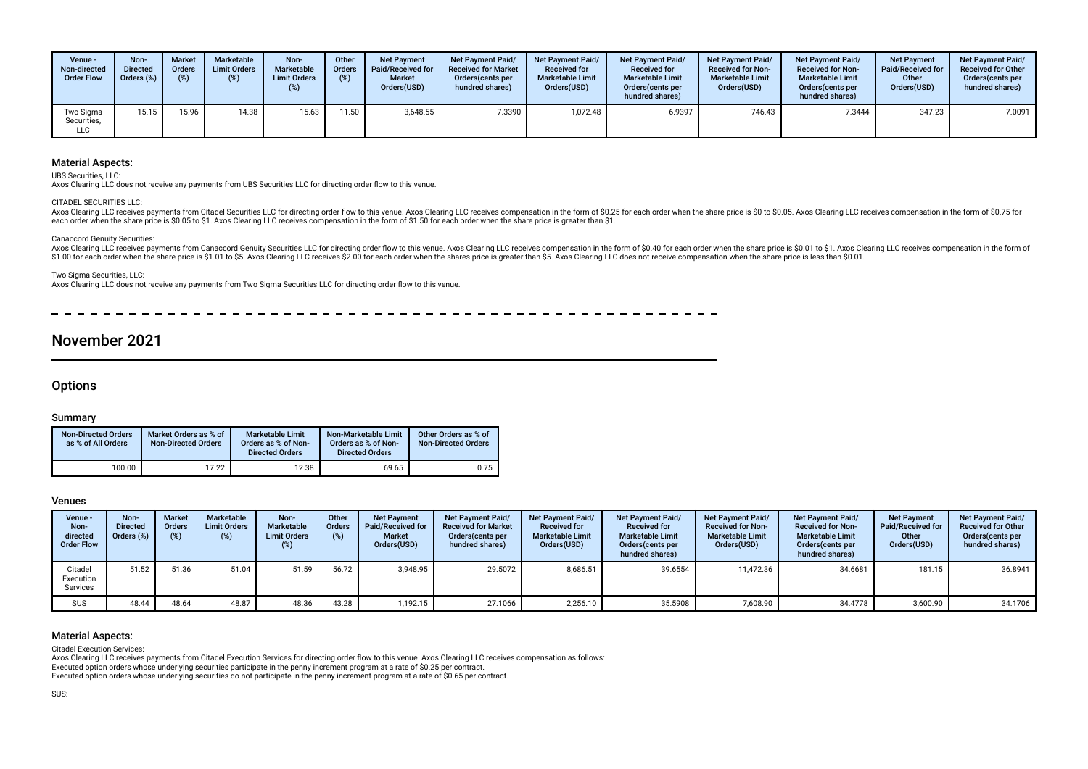| Venue -<br>Non-directed<br><b>Order Flow</b> | Non-<br><b>Directed</b><br>Orders (%) | <b>Market</b><br>Orders<br>(%) | Marketable<br><b>Limit Orders</b><br>(% ) | Non-<br>Marketable<br><b>Limit Orders</b><br>(%) | Other<br><b>Orders</b><br>(%) | <b>Net Payment</b><br>Paid/Received for<br><b>Market</b><br>Orders(USD) | <b>Net Payment Paid/</b><br><b>Received for Market</b><br>Orders (cents per<br>hundred shares) | Net Payment Paid/<br><b>Received for</b><br><b>Marketable Limit</b><br>Orders(USD) | <b>Net Payment Paid/</b><br><b>Received for</b><br><b>Marketable Limit</b><br>Orders (cents per<br>hundred shares) | <b>Net Payment Paid/</b><br><b>Received for Non-</b><br><b>Marketable Limit</b><br>Orders(USD) | <b>Net Payment Paid/</b><br><b>Received for Non-</b><br><b>Marketable Limit</b><br>Orders (cents per<br>hundred shares) | <b>Net Payment</b><br>Paid/Received for<br>Other<br>Orders(USD) | <b>Net Payment Paid/</b><br><b>Received for Other</b><br>Orders(cents per<br>hundred shares) |
|----------------------------------------------|---------------------------------------|--------------------------------|-------------------------------------------|--------------------------------------------------|-------------------------------|-------------------------------------------------------------------------|------------------------------------------------------------------------------------------------|------------------------------------------------------------------------------------|--------------------------------------------------------------------------------------------------------------------|------------------------------------------------------------------------------------------------|-------------------------------------------------------------------------------------------------------------------------|-----------------------------------------------------------------|----------------------------------------------------------------------------------------------|
| Two Sigma<br>Securities,<br><b>LLC</b>       | 15.15                                 | 15.96                          | 14.38                                     | 15.63                                            | 11.50                         | 3,648.55                                                                | 7.3390                                                                                         | 1,072.48                                                                           | 6.9397                                                                                                             | 746.43                                                                                         | 7.3444                                                                                                                  | 347.23                                                          | 7.0091                                                                                       |

## Material Aspects:

UBS Securities, LLC:

Axos Clearing LLC does not receive any payments from UBS Securities LLC for directing order fow to this venue.

#### CITADEL SECURITIES LLC:

Axos Clearing LLC receives payments from Citadel Securities LLC for directing order flow to this venue. Axos Clearing LLC receives compensation in the form of \$0.25 for each order when the share price is \$0 to \$0.05. Axos each order when the share price is \$0.05 to \$1. Axos Clearing LLC receives compensation in the form of \$1.50 for each order when the share price is greater than \$1.

#### Canaccord Genuity Securities:

Axos Clearing LLC receives payments from Canaccord Genuity Securities LLC for directing order flow to this venue. Axos Clearing LLC receives compensation in the form of \$0.40 for each order when the share price is \$0.01 to 31.00 for each order when the shares price is greater than \$5. Axos Clearing LLC receives \$2.00 for each order when the shares price is greater than \$5. Axos Clearing LLC does not receive compensation when the share price

#### Two Sigma Securities, LLC:

Axos Clearing LLC does not receive any payments from Two Sigma Securities LLC for directing order fow to this venue.

# November 2021

## **Options**

## Summary

| <b>Non-Directed Orders</b><br>as % of All Orders | Market Orders as % of<br><b>Non-Directed Orders</b> | <b>Marketable Limit</b><br>Orders as % of Non-<br><b>Directed Orders</b> | Non-Marketable Limit<br>Orders as % of Non-<br><b>Directed Orders</b> | Other Orders as % of<br><b>Non-Directed Orders</b> |
|--------------------------------------------------|-----------------------------------------------------|--------------------------------------------------------------------------|-----------------------------------------------------------------------|----------------------------------------------------|
| 100.00                                           | 17.22                                               | 12.38                                                                    | 69.65                                                                 | 0.75                                               |

### Venues

| Venue -<br>Non-<br>directed<br><b>Order Flow</b> | Non-<br><b>Directed</b><br>Orders (%) | <b>Market</b><br><b>Orders</b><br>(%) | Marketable<br><b>Limit Orders</b><br>(%) | Non-<br>Marketable<br><b>Limit Orders</b> | Other<br><b>Orders</b><br>(%) | <b>Net Payment</b><br>Paid/Received for<br><b>Market</b><br>Orders(USD) | <b>Net Payment Paid/</b><br><b>Received for Market</b><br>Orders (cents per<br>hundred shares) | <b>Net Payment Paid/</b><br><b>Received for</b><br><b>Marketable Limit</b><br>Orders(USD) | <b>Net Payment Paid/</b><br><b>Received for</b><br><b>Marketable Limit</b><br>Orders (cents per<br>hundred shares) | Net Payment Paid/<br><b>Received for Non-</b><br><b>Marketable Limit</b><br>Orders(USD) | <b>Net Payment Paid/</b><br><b>Received for Non-</b><br><b>Marketable Limit</b><br>Orders (cents per<br>hundred shares) | <b>Net Payment</b><br>Paid/Received for<br>Other<br>Orders(USD) | Net Payment Paid/<br><b>Received for Other</b><br>Orders(cents per<br>hundred shares) |
|--------------------------------------------------|---------------------------------------|---------------------------------------|------------------------------------------|-------------------------------------------|-------------------------------|-------------------------------------------------------------------------|------------------------------------------------------------------------------------------------|-------------------------------------------------------------------------------------------|--------------------------------------------------------------------------------------------------------------------|-----------------------------------------------------------------------------------------|-------------------------------------------------------------------------------------------------------------------------|-----------------------------------------------------------------|---------------------------------------------------------------------------------------|
| Citadel<br>Execution<br>Services                 | 51.52                                 | 51.36                                 | 51.04                                    | 51.59                                     | 56.72                         | 3.948.95                                                                | 29.5072                                                                                        | 8,686.51                                                                                  | 39.6554                                                                                                            | 11.472.36                                                                               | 34.6681                                                                                                                 | 181.15                                                          | 36.8941                                                                               |
| <b>SUS</b>                                       | 48.44                                 | 48.64                                 | 48.87                                    | 48.36                                     | 43.28                         | 1.192.15                                                                | 27.1066                                                                                        | 2.256.10                                                                                  | 35.5908                                                                                                            | 7.608.90                                                                                | 34.4778                                                                                                                 | 3.600.90                                                        | 34.1706                                                                               |

### Material Aspects:

Citadel Execution Services:

Axos Clearing LLC receives payments from Citadel Execution Services for directing order flow to this venue. Axos Clearing LLC receives compensation as follows:

Executed option orders whose underlying securities participate in the penny increment program at a rate of \$0.25 per contract.

Executed option orders whose underlying securities do not participate in the penny increment program at a rate of \$0.65 per contract.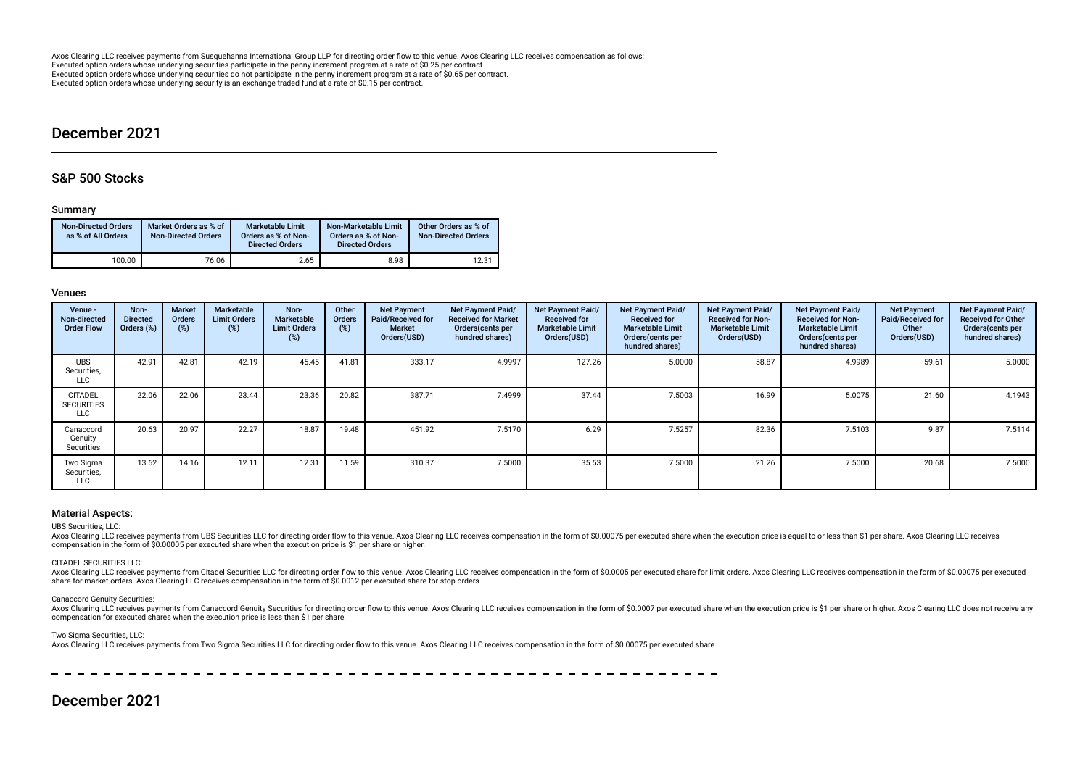Axos Clearing LLC receives payments from Susquehanna International Group LLP for directing order flow to this venue. Axos Clearing LLC receives compensation as follows: Executed option orders whose underlying securities participate in the penny increment program at a rate of \$0.25 per contract. Executed option orders whose underlying securities do not participate in the penny increment program at a rate of \$0.65 per contract. Executed option orders whose underlying security is an exchange traded fund at a rate of \$0.15 per contract.

# December 2021

# S&P 500 Stocks

### Summary

| <b>Non-Directed Orders</b><br>as % of All Orders | Market Orders as % of<br><b>Non-Directed Orders</b> | <b>Marketable Limit</b><br>Orders as % of Non-<br><b>Directed Orders</b> | Non-Marketable Limit<br>Orders as % of Non-<br><b>Directed Orders</b> | Other Orders as % of<br><b>Non-Directed Orders</b> |
|--------------------------------------------------|-----------------------------------------------------|--------------------------------------------------------------------------|-----------------------------------------------------------------------|----------------------------------------------------|
| 100.00                                           | 76.06                                               | 2.65                                                                     | 8.98                                                                  | 12.31                                              |

### Venues

| Venue -<br>Non-directed<br><b>Order Flow</b>      | Non-<br><b>Directed</b><br>Orders (%) | <b>Market</b><br><b>Orders</b><br>(%) | Marketable<br><b>Limit Orders</b><br>(%) | Non-<br>Marketable<br><b>Limit Orders</b><br>(%) | Other<br>Orders<br>$(\%)$ | <b>Net Payment</b><br>Paid/Received for<br>Market<br>Orders(USD) | Net Payment Paid/<br><b>Received for Market</b><br>Orders(cents per<br>hundred shares) | Net Payment Paid/<br><b>Received for</b><br><b>Marketable Limit</b><br>Orders(USD) | Net Payment Paid/<br><b>Received for</b><br><b>Marketable Limit</b><br>Orders (cents per<br>hundred shares) | Net Payment Paid/<br><b>Received for Non-</b><br><b>Marketable Limit</b><br>Orders(USD) | Net Payment Paid/<br><b>Received for Non-</b><br><b>Marketable Limit</b><br>Orders(cents per<br>hundred shares) | <b>Net Payment</b><br>Paid/Received for<br>Other<br>Orders(USD) | Net Payment Paid/<br><b>Received for Other</b><br>Orders (cents per<br>hundred shares) |
|---------------------------------------------------|---------------------------------------|---------------------------------------|------------------------------------------|--------------------------------------------------|---------------------------|------------------------------------------------------------------|----------------------------------------------------------------------------------------|------------------------------------------------------------------------------------|-------------------------------------------------------------------------------------------------------------|-----------------------------------------------------------------------------------------|-----------------------------------------------------------------------------------------------------------------|-----------------------------------------------------------------|----------------------------------------------------------------------------------------|
| <b>UBS</b><br>Securities,<br><b>LLC</b>           | 42.91                                 | 42.81                                 | 42.19                                    | 45.45                                            | 41.81                     | 333.17                                                           | 4.9997                                                                                 | 127.26                                                                             | 5.0000                                                                                                      | 58.87                                                                                   | 4.9989                                                                                                          | 59.61                                                           | 5.0000                                                                                 |
| <b>CITADEL</b><br><b>SECURITIES</b><br><b>LLC</b> | 22.06                                 | 22.06                                 | 23.44                                    | 23.36                                            | 20.82                     | 387.71                                                           | 7.4999                                                                                 | 37.44                                                                              | 7.5003                                                                                                      | 16.99                                                                                   | 5.0075                                                                                                          | 21.60                                                           | 4.1943                                                                                 |
| Canaccord<br>Genuity<br>Securities                | 20.63                                 | 20.97                                 | 22.27                                    | 18.87                                            | 19.48                     | 451.92                                                           | 7.5170                                                                                 | 6.29                                                                               | 7.5257                                                                                                      | 82.36                                                                                   | 7.5103                                                                                                          | 9.87                                                            | 7.5114                                                                                 |
| Two Sigma<br>Securities,<br><b>LLC</b>            | 13.62                                 | 14.16                                 | 12.11                                    | 12.31                                            | 11.59                     | 310.37                                                           | 7.5000                                                                                 | 35.53                                                                              | 7.5000                                                                                                      | 21.26                                                                                   | 7.5000                                                                                                          | 20.68                                                           | 7.5000                                                                                 |

### Material Aspects:

UBS Securities, LLC:

Axos Clearing LLC receives payments from UBS Securities LLC for directing order flow to this venue. Axos Clearing LLC receives compensation in the form of \$0.00075 per executed share when the execution price is equal to or compensation in the form of \$0.00005 per executed share when the execution price is \$1 per share or higher.

#### CITADEL SECURITIES LLC:

Axos Clearing LLC receives payments from Citadel Securities LLC for directing order flow to this venue. Axos Clearing LLC receives compensation in the form of \$0.0005 per executed share for limit orders. Axos Clearing LLC share for market orders. Axos Clearing LLC receives compensation in the form of \$0.0012 per executed share for stop orders.

#### Canaccord Genuity Securities:

Axos Clearing LLC receives payments from Canaccord Genuity Securities for directing order flow to this venue. Axos Clearing LLC receives compensation in the form of \$0.0007 per executed share when the execution price is \$1 compensation for executed shares when the execution price is less than \$1 per share.

Two Sigma Securities, LLC:

Axos Clearing LLC receives payments from Two Sigma Securities LLC for directing order flow to this venue. Axos Clearing LLC receives compensation in the form of \$0.00075 per executed share.

December 2021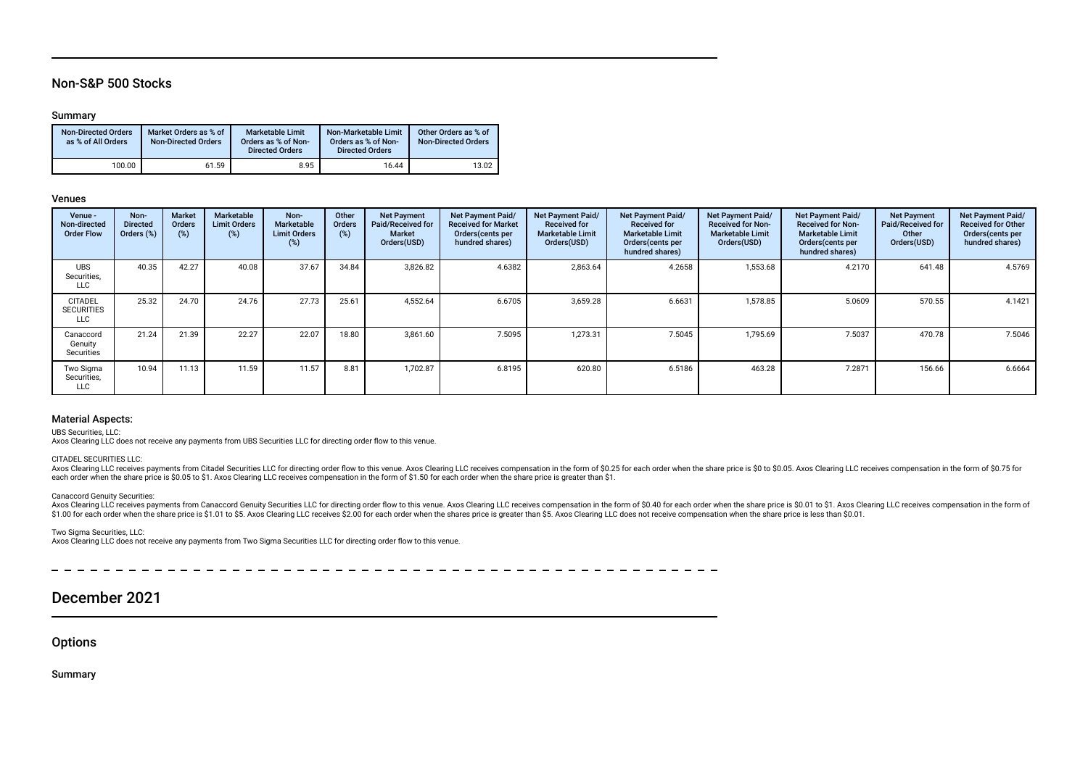# Non-S&P 500 Stocks

## Summary

| <b>Non-Directed Orders</b><br>as % of All Orders | Market Orders as % of<br><b>Non-Directed Orders</b> | <b>Marketable Limit</b><br>Orders as % of Non-<br><b>Directed Orders</b> | Non-Marketable Limit<br>Orders as % of Non-<br><b>Directed Orders</b> | Other Orders as % of<br><b>Non-Directed Orders</b> |
|--------------------------------------------------|-----------------------------------------------------|--------------------------------------------------------------------------|-----------------------------------------------------------------------|----------------------------------------------------|
| 100.00                                           | 61.59                                               | 8.95                                                                     | 16.44                                                                 | 13.02                                              |

## Venues

| Venue -<br>Non-directed<br><b>Order Flow</b>      | Non-<br><b>Directed</b><br>Orders (%) | <b>Market</b><br>Orders<br>(%) | Marketable<br><b>Limit Orders</b><br>(%) | Non-<br>Marketable<br><b>Limit Orders</b><br>(%) | Other<br>Orders<br>(%) | <b>Net Payment</b><br>Paid/Received for<br><b>Market</b><br>Orders(USD) | Net Payment Paid/<br><b>Received for Market</b><br>Orders(cents per<br>hundred shares) | Net Payment Paid/<br><b>Received for</b><br><b>Marketable Limit</b><br>Orders(USD) | Net Payment Paid/<br><b>Received for</b><br><b>Marketable Limit</b><br>Orders (cents per<br>hundred shares) | <b>Net Payment Paid/</b><br><b>Received for Non-</b><br><b>Marketable Limit</b><br>Orders(USD) | Net Payment Paid/<br><b>Received for Non-</b><br><b>Marketable Limit</b><br>Orders (cents per<br>hundred shares) | <b>Net Payment</b><br>Paid/Received for<br>Other<br>Orders(USD) | Net Payment Paid/<br><b>Received for Other</b><br>Orders(cents per<br>hundred shares) |
|---------------------------------------------------|---------------------------------------|--------------------------------|------------------------------------------|--------------------------------------------------|------------------------|-------------------------------------------------------------------------|----------------------------------------------------------------------------------------|------------------------------------------------------------------------------------|-------------------------------------------------------------------------------------------------------------|------------------------------------------------------------------------------------------------|------------------------------------------------------------------------------------------------------------------|-----------------------------------------------------------------|---------------------------------------------------------------------------------------|
| <b>UBS</b><br>Securities,<br><b>LLC</b>           | 40.35                                 | 42.27                          | 40.08                                    | 37.67                                            | 34.84                  | 3,826.82                                                                | 4.6382                                                                                 | 2,863.64                                                                           | 4.2658                                                                                                      | 1,553.68                                                                                       | 4.2170                                                                                                           | 641.48                                                          | 4.5769                                                                                |
| <b>CITADEL</b><br><b>SECURITIES</b><br><b>LLC</b> | 25.32                                 | 24.70                          | 24.76                                    | 27.73                                            | 25.61                  | 4,552.64                                                                | 6.6705                                                                                 | 3,659.28                                                                           | 6.6631                                                                                                      | 1,578.85                                                                                       | 5.0609                                                                                                           | 570.55                                                          | 4.1421                                                                                |
| Canaccord<br>Genuity<br>Securities                | 21.24                                 | 21.39                          | 22.27                                    | 22.07                                            | 18.80                  | 3,861.60                                                                | 7.5095                                                                                 | 1,273.31                                                                           | 7.5045                                                                                                      | 1,795.69                                                                                       | 7.5037                                                                                                           | 470.78                                                          | 7.5046                                                                                |
| Two Sigma<br>Securities,<br><b>LLC</b>            | 10.94                                 | 11.13                          | 11.59                                    | 11.57                                            | 8.81                   | 1,702.87                                                                | 6.8195                                                                                 | 620.80                                                                             | 6.5186                                                                                                      | 463.28                                                                                         | 7.2871                                                                                                           | 156.66                                                          | 6.6664                                                                                |

## Material Aspects:

UBS Securities, LLC:

Axos Clearing LLC does not receive any payments from UBS Securities LLC for directing order fow to this venue.

## CITADEL SECURITIES LLC:

Axos Clearing LLC receives payments from Citadel Securities LLC for directing order flow to this venue. Axos Clearing LLC receives compensation in the form of \$0.25 for each order when the share price is \$0 to \$0.05. Axos each order when the share price is \$0.05 to \$1. Axos Clearing LLC receives compensation in the form of \$1.50 for each order when the share price is greater than \$1.

#### Canaccord Genuity Securities:

Axos Clearing LLC receives payments from Canaccord Genuity Securities LLC for directing order flow to this venue. Axos Clearing LLC receives compensation in the form of \$0.40 for each order when the share price is \$0.01 to 0.01.00 for each order when the shares price is greater than \$5. Axos Clearing LLC receives \$2.00 for each order when the shares price is greater than \$5. Axos Clearing LLC does not receive compensation when the share pric

#### Two Sigma Securities, LLC:

Axos Clearing LLC does not receive any payments from Two Sigma Securities LLC for directing order fow to this venue.

# December 2021

**Options** 

Summary